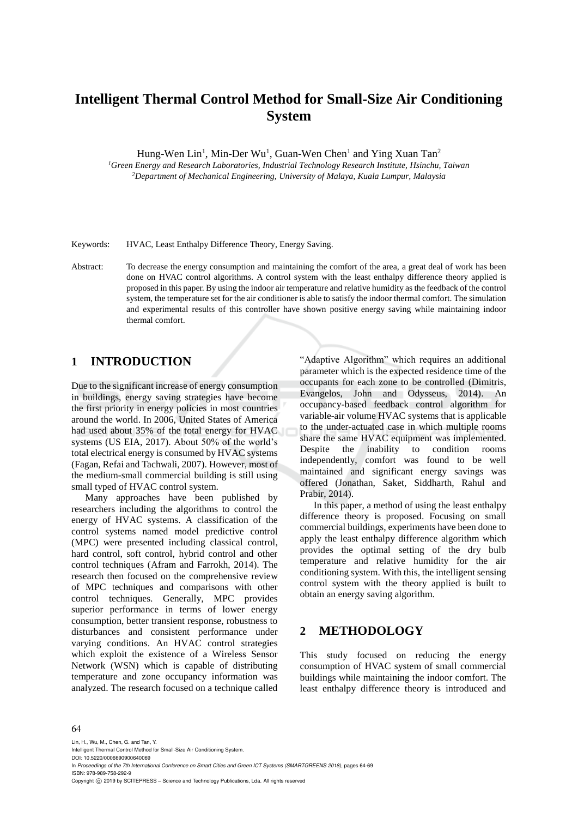# **Intelligent Thermal Control Method for Small-Size Air Conditioning System**

Hung-Wen Lin<sup>1</sup>, Min-Der Wu<sup>1</sup>, Guan-Wen Chen<sup>1</sup> and Ying Xuan Tan<sup>2</sup>

*<sup>1</sup>Green Energy and Research Laboratories, Industrial Technology Research Institute, Hsinchu, Taiwan <sup>2</sup>Department of Mechanical Engineering, University of Malaya, Kuala Lumpur, Malaysia*

Keywords: HVAC, Least Enthalpy Difference Theory, Energy Saving.

Abstract: To decrease the energy consumption and maintaining the comfort of the area, a great deal of work has been done on HVAC control algorithms. A control system with the least enthalpy difference theory applied is proposed in this paper. By using the indoor air temperature and relative humidity as the feedback of the control system, the temperature set for the air conditioner is able to satisfy the indoor thermal comfort. The simulation and experimental results of this controller have shown positive energy saving while maintaining indoor thermal comfort.

# **1 INTRODUCTION**

Due to the significant increase of energy consumption in buildings, energy saving strategies have become the first priority in energy policies in most countries around the world. In 2006, United States of America had used about 35% of the total energy for HVAC systems (US EIA, 2017). About 50% of the world's total electrical energy is consumed by HVAC systems (Fagan, Refai and Tachwali, 2007). However, most of the medium-small commercial building is still using small typed of HVAC control system.

Many approaches have been published by researchers including the algorithms to control the energy of HVAC systems. A classification of the control systems named model predictive control (MPC) were presented including classical control, hard control, soft control, hybrid control and other control techniques (Afram and Farrokh, 2014). The research then focused on the comprehensive review of MPC techniques and comparisons with other control techniques. Generally, MPC provides superior performance in terms of lower energy consumption, better transient response, robustness to disturbances and consistent performance under varying conditions. An HVAC control strategies which exploit the existence of a Wireless Sensor Network (WSN) which is capable of distributing temperature and zone occupancy information was analyzed. The research focused on a technique called

"Adaptive Algorithm" which requires an additional parameter which is the expected residence time of the occupants for each zone to be controlled (Dimitris, Evangelos, John and Odysseus, 2014). An occupancy-based feedback control algorithm for variable-air volume HVAC systems that is applicable to the under-actuated case in which multiple rooms share the same HVAC equipment was implemented. Despite the inability to condition rooms independently, comfort was found to be well maintained and significant energy savings was offered (Jonathan, Saket, Siddharth, Rahul and Prabir, 2014).

In this paper, a method of using the least enthalpy difference theory is proposed. Focusing on small commercial buildings, experiments have been done to apply the least enthalpy difference algorithm which provides the optimal setting of the dry bulb temperature and relative humidity for the air conditioning system. With this, the intelligent sensing control system with the theory applied is built to obtain an energy saving algorithm.

### **2 METHODOLOGY**

This study focused on reducing the energy consumption of HVAC system of small commercial buildings while maintaining the indoor comfort. The least enthalpy difference theory is introduced and

#### 64

Lin, H., Wu, M., Chen, G. and Tan, Y. Intelligent Thermal Control Method for Small-Size Air Conditioning System. DOI: 10.5220/0006690900640069 In *Proceedings of the 7th International Conference on Smart Cities and Green ICT Systems (SMARTGREENS 2018)*, pages 64-69 ISBN: 978-989-758-292-9 Copyright  $\odot$  2019 by SCITEPRESS - Science and Technology Publications, Lda. All rights reserved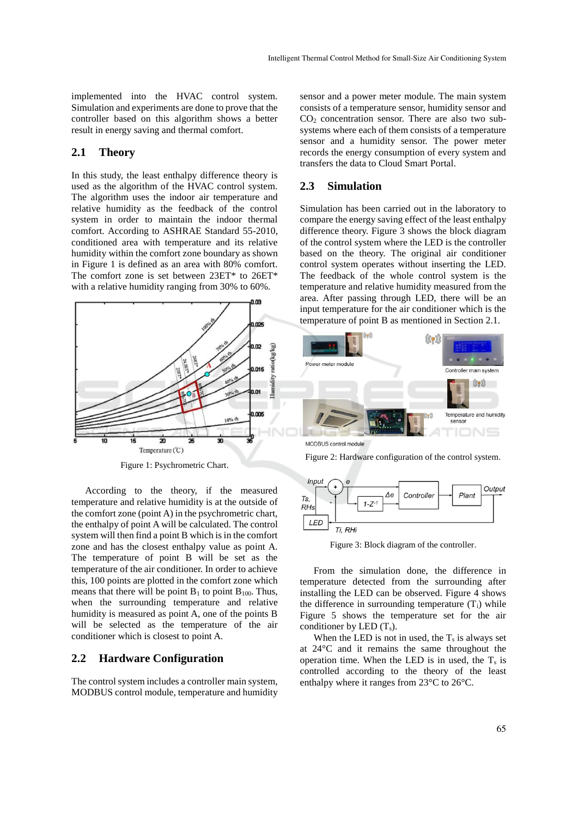implemented into the HVAC control system. Simulation and experiments are done to prove that the controller based on this algorithm shows a better result in energy saving and thermal comfort.

#### **2.1 Theory**

In this study, the least enthalpy difference theory is used as the algorithm of the HVAC control system. The algorithm uses the indoor air temperature and relative humidity as the feedback of the control system in order to maintain the indoor thermal comfort. According to ASHRAE Standard 55-2010, conditioned area with temperature and its relative humidity within the comfort zone boundary as shown in Figure 1 is defined as an area with 80% comfort. The comfort zone is set between 23ET\* to 26ET\* with a relative humidity ranging from 30% to 60%.



Figure 1: Psychrometric Chart.

According to the theory, if the measured temperature and relative humidity is at the outside of the comfort zone (point A) in the psychrometric chart, the enthalpy of point A will be calculated. The control system will then find a point B which is in the comfort zone and has the closest enthalpy value as point A. The temperature of point B will be set as the temperature of the air conditioner. In order to achieve this, 100 points are plotted in the comfort zone which means that there will be point  $B_1$  to point  $B_{100}$ . Thus, when the surrounding temperature and relative humidity is measured as point A, one of the points B will be selected as the temperature of the air conditioner which is closest to point A.

# **2.2 Hardware Configuration**

The control system includes a controller main system, MODBUS control module, temperature and humidity

sensor and a power meter module. The main system consists of a temperature sensor, humidity sensor and  $CO<sub>2</sub>$  concentration sensor. There are also two subsystems where each of them consists of a temperature sensor and a humidity sensor. The power meter records the energy consumption of every system and transfers the data to Cloud Smart Portal.

### **2.3 Simulation**

Simulation has been carried out in the laboratory to compare the energy saving effect of the least enthalpy difference theory. Figure 3 shows the block diagram of the control system where the LED is the controller based on the theory. The original air conditioner control system operates without inserting the LED. The feedback of the whole control system is the temperature and relative humidity measured from the area. After passing through LED, there will be an input temperature for the air conditioner which is the temperature of point B as mentioned in Section 2.1.



MODBUS control module

Figure 2: Hardware configuration of the control system.



Figure 3: Block diagram of the controller.

From the simulation done, the difference in temperature detected from the surrounding after installing the LED can be observed. Figure 4 shows the difference in surrounding temperature  $(T_i)$  while Figure 5 shows the temperature set for the air conditioner by LED  $(T_s)$ .

When the LED is not in used, the  $T_s$  is always set at 24°C and it remains the same throughout the operation time. When the LED is in used, the  $T_s$  is controlled according to the theory of the least enthalpy where it ranges from 23°C to 26°C.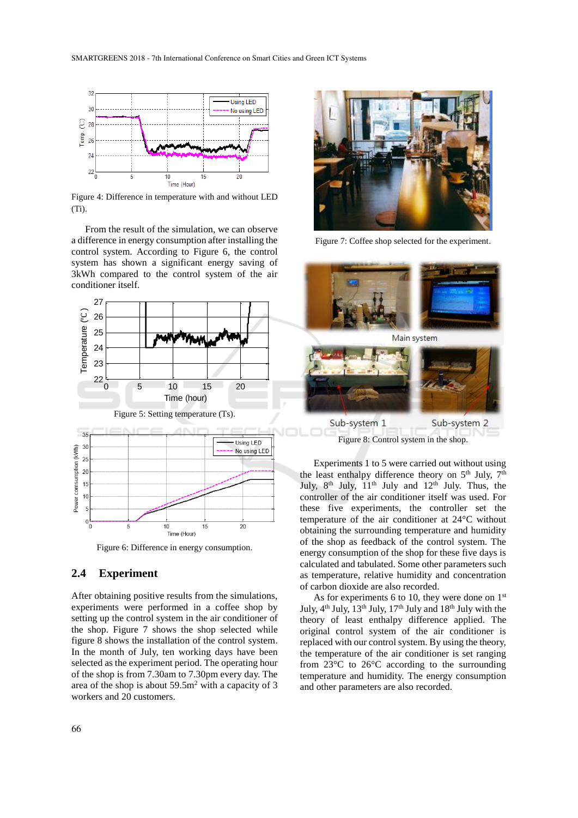

Figure 4: Difference in temperature with and without LED (Ti).

From the result of the simulation, we can observe a difference in energy consumption after installing the control system. According to Figure 6, the control system has shown a significant energy saving of 3kWh compared to the control system of the air conditioner itself.



Figure 6: Difference in energy consumption.

## **2.4 Experiment**

After obtaining positive results from the simulations, experiments were performed in a coffee shop by setting up the control system in the air conditioner of the shop. Figure 7 shows the shop selected while figure 8 shows the installation of the control system. In the month of July, ten working days have been selected as the experiment period. The operating hour of the shop is from 7.30am to 7.30pm every day. The area of the shop is about  $59.5m<sup>2</sup>$  with a capacity of 3 workers and 20 customers.



Figure 7: Coffee shop selected for the experiment.



Figure 8: Control system in the shop.

Experiments 1 to 5 were carried out without using the least enthalpy difference theory on  $5<sup>th</sup>$  July,  $7<sup>th</sup>$ July,  $8<sup>th</sup>$  July,  $11<sup>th</sup>$  July and  $12<sup>th</sup>$  July. Thus, the controller of the air conditioner itself was used. For these five experiments, the controller set the temperature of the air conditioner at 24°C without obtaining the surrounding temperature and humidity of the shop as feedback of the control system. The energy consumption of the shop for these five days is calculated and tabulated. Some other parameters such as temperature, relative humidity and concentration of carbon dioxide are also recorded.

As for experiments 6 to 10, they were done on  $1<sup>st</sup>$ July, 4<sup>th</sup> July, 13<sup>th</sup> July, 17<sup>th</sup> July and 18<sup>th</sup> July with the theory of least enthalpy difference applied. The original control system of the air conditioner is replaced with our control system. By using the theory, the temperature of the air conditioner is set ranging from 23°C to 26°C according to the surrounding temperature and humidity. The energy consumption and other parameters are also recorded.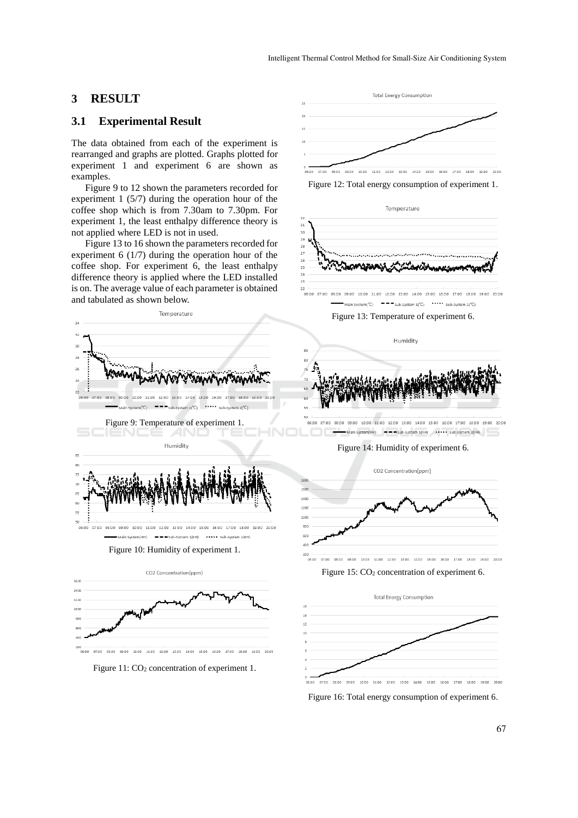### **3 RESULT**

### **3.1 Experimental Result**

The data obtained from each of the experiment is rearranged and graphs are plotted. Graphs plotted for experiment 1 and experiment 6 are shown as examples.

Figure 9 to 12 shown the parameters recorded for experiment 1 (5/7) during the operation hour of the coffee shop which is from 7.30am to 7.30pm. For experiment 1, the least enthalpy difference theory is not applied where LED is not in used.

Figure 13 to 16 shown the parameters recorded for experiment 6 (1/7) during the operation hour of the coffee shop. For experiment 6, the least enthalpy difference theory is applied where the LED installed is on. The average value of each parameter is obtained and tabulated as shown below.



Figure 10: Humidity of experiment 1.



Figure 11: CO<sub>2</sub> concentration of experiment 1.







Figure 13: Temperature of experiment 6.



Main System(RH)  $\longrightarrow$  Sub-System 1(RH)  $\longrightarrow$  Sub-System 2(RH)

Figure 14: Humidity of experiment 6.



Figure 15: CO<sub>2</sub> concentration of experiment 6.



Figure 16: Total energy consumption of experiment 6.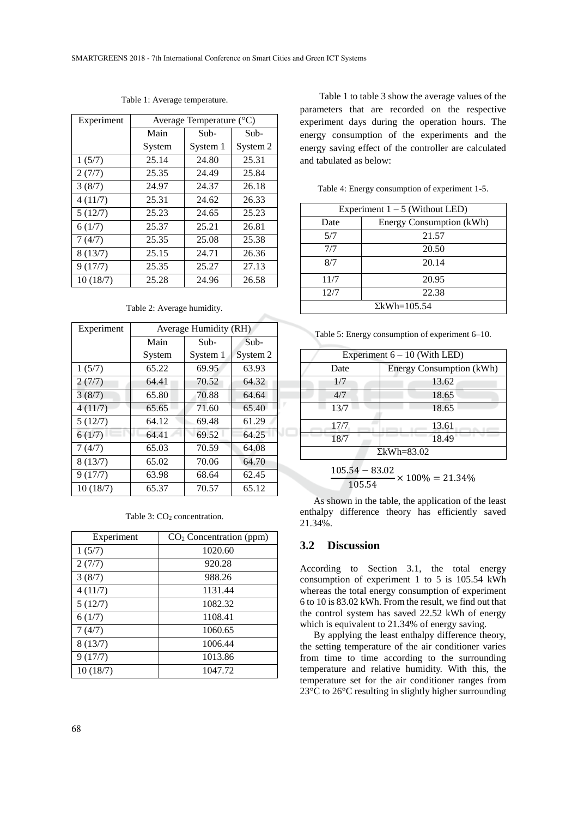| Experiment | Average Temperature (°C) |          |          |
|------------|--------------------------|----------|----------|
|            | Main                     | Sub-     | Sub-     |
|            | System                   | System 1 | System 2 |
| 1(5/7)     | 25.14                    | 24.80    | 25.31    |
| 2(7/7)     | 25.35                    | 24.49    | 25.84    |
| 3(8/7)     | 24.97                    | 24.37    | 26.18    |
| 4(11/7)    | 25.31                    | 24.62    | 26.33    |
| 5(12/7)    | 25.23                    | 24.65    | 25.23    |
| 6(1/7)     | 25.37                    | 25.21    | 26.81    |
| 7(4/7)     | 25.35                    | 25.08    | 25.38    |
| 8(13/7)    | 25.15                    | 24.71    | 26.36    |
| 9(17/7)    | 25.35                    | 25.27    | 27.13    |
| 10(18/7)   | 25.28                    | 24.96    | 26.58    |

Table 1: Average temperature.

Table 2: Average humidity.

| Experiment | Average Humidity (RH) |          |          |  |
|------------|-----------------------|----------|----------|--|
|            | Main                  | Sub-     | $Sub-$   |  |
|            | System                | System 1 | System 2 |  |
| 1(5/7)     | 65.22                 | 69.95    | 63.93    |  |
| 2(7/7)     | 64.41                 | 70.52    | 64.32    |  |
| 3(8/7)     | 65.80                 | 70.88    | 64.64    |  |
| 4(11/7)    | 65.65                 | 71.60    | 65.40    |  |
| 5(12/7)    | 64.12                 | 69.48    | 61.29    |  |
| 6(1/7)     | 64.41                 | 69.52    | 64.25    |  |
| 7(4/7)     | 65.03                 | 70.59    | 64.08    |  |
| 8(13/7)    | 65.02                 | 70.06    | 64.70    |  |
| 9(17/7)    | 63.98                 | 68.64    | 62.45    |  |
| 10(18/7)   | 65.37                 | 70.57    | 65.12    |  |

Table 3: CO<sub>2</sub> concentration.

| Experiment | $CO2$ Concentration (ppm) |
|------------|---------------------------|
| 1(5/7)     | 1020.60                   |
| 2(7/7)     | 920.28                    |
| 3(8/7)     | 988.26                    |
| 4(11/7)    | 1131.44                   |
| 5(12/7)    | 1082.32                   |
| 6(1/7)     | 1108.41                   |
| 7(4/7)     | 1060.65                   |
| 8(13/7)    | 1006.44                   |
| 9(17/7)    | 1013.86                   |
| 10(18/7)   | 1047.72                   |

Table 1 to table 3 show the average values of the parameters that are recorded on the respective experiment days during the operation hours. The energy consumption of the experiments and the energy saving effect of the controller are calculated and tabulated as below:

Table 4: Energy consumption of experiment 1-5.

| Experiment $1 - 5$ (Without LED) |                          |  |
|----------------------------------|--------------------------|--|
| Date                             | Energy Consumption (kWh) |  |
| 5/7                              | 21.57                    |  |
| 7/7                              | 20.50                    |  |
| 8/7                              | 20.14                    |  |
| 11/7                             | 20.95                    |  |
| 12/7                             | 22.38                    |  |
| $\Sigma$ kWh=105.54              |                          |  |

Table 5: Energy consumption of experiment 6–10.

| Experiment $6 - 10$ (With LED) |                          |  |
|--------------------------------|--------------------------|--|
| Date                           | Energy Consumption (kWh) |  |
| 1/7                            | 13.62                    |  |
| 4/7                            | 18.65                    |  |
| 13/7                           | 18.65                    |  |
| 17/7                           | 13.61                    |  |
| 18/7                           | 18.49                    |  |
| $\Sigma$ kWh=83.02             |                          |  |
|                                |                          |  |

$$
\frac{105.54 - 83.02}{105.54} \times 100\% = 21.34\%
$$

As shown in the table, the application of the least enthalpy difference theory has efficiently saved 21.34%.

#### **3.2 Discussion**

According to Section 3.1, the total energy consumption of experiment 1 to 5 is 105.54 kWh whereas the total energy consumption of experiment 6 to 10 is 83.02 kWh. From the result, we find out that the control system has saved 22.52 kWh of energy which is equivalent to 21.34% of energy saving.

By applying the least enthalpy difference theory, the setting temperature of the air conditioner varies from time to time according to the surrounding temperature and relative humidity. With this, the temperature set for the air conditioner ranges from 23°C to 26°C resulting in slightly higher surrounding